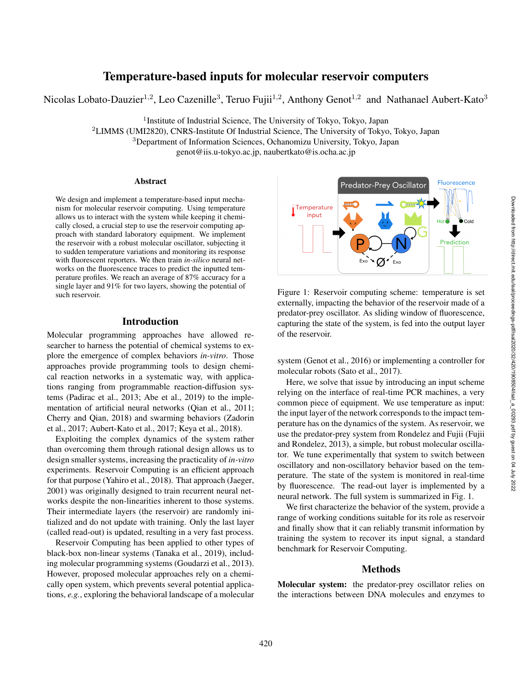# Temperature-based inputs for molecular reservoir computers

Nicolas Lobato-Dauzier<sup>1,2</sup>, Leo Cazenille<sup>3</sup>, Teruo Fujii<sup>1,2</sup>, Anthony Genot<sup>1,2</sup> and Nathanael Aubert-Kato<sup>3</sup>

<sup>1</sup> Institute of Industrial Science, The University of Tokyo, Tokyo, Japan

<sup>2</sup>LIMMS (UMI2820), CNRS-Institute Of Industrial Science, The University of Tokyo, Tokyo, Japan

<sup>3</sup>Department of Information Sciences, Ochanomizu University, Tokyo, Japan

genot@iis.u-tokyo.ac.jp, naubertkato@is.ocha.ac.jp

#### Abstract

We design and implement a temperature-based input mechanism for molecular reservoir computing. Using temperature allows us to interact with the system while keeping it chemically closed, a crucial step to use the reservoir computing approach with standard laboratory equipment. We implement the reservoir with a robust molecular oscillator, subjecting it to sudden temperature variations and monitoring its response with fluorescent reporters. We then train *in-silico* neural networks on the fluorescence traces to predict the inputted temperature profiles. We reach an average of 87% accuracy for a single layer and 91% for two layers, showing the potential of such reservoir.

# Introduction

Molecular programming approaches have allowed researcher to harness the potential of chemical systems to explore the emergence of complex behaviors *in-vitro*. Those approaches provide programming tools to design chemical reaction networks in a systematic way, with applications ranging from programmable reaction-diffusion systems (Padirac et al., 2013; Abe et al., 2019) to the implementation of artificial neural networks (Qian et al., 2011; Cherry and Qian, 2018) and swarming behaviors (Zadorin et al., 2017; Aubert-Kato et al., 2017; Keya et al., 2018).

Exploiting the complex dynamics of the system rather than overcoming them through rational design allows us to design smaller systems, increasing the practicality of *in-vitro* experiments. Reservoir Computing is an efficient approach for that purpose (Yahiro et al., 2018). That approach (Jaeger, 2001) was originally designed to train recurrent neural networks despite the non-linearities inherent to those systems. Their intermediate layers (the reservoir) are randomly initialized and do not update with training. Only the last layer (called read-out) is updated, resulting in a very fast process.

Reservoir Computing has been applied to other types of black-box non-linear systems (Tanaka et al., 2019), including molecular programming systems (Goudarzi et al., 2013). However, proposed molecular approaches rely on a chemically open system, which prevents several potential applications, *e.g.*, exploring the behavioral landscape of a molecular



Figure 1: Reservoir computing scheme: temperature is set externally, impacting the behavior of the reservoir made of a predator-prey oscillator. As sliding window of fluorescence, capturing the state of the system, is fed into the output layer of the reservoir.

system (Genot et al., 2016) or implementing a controller for molecular robots (Sato et al., 2017).

Here, we solve that issue by introducing an input scheme relying on the interface of real-time PCR machines, a very common piece of equipment. We use temperature as input: the input layer of the network corresponds to the impact temperature has on the dynamics of the system. As reservoir, we use the predator-prey system from Rondelez and Fujii (Fujii and Rondelez, 2013), a simple, but robust molecular oscillator. We tune experimentally that system to switch between oscillatory and non-oscillatory behavior based on the temperature. The state of the system is monitored in real-time by fluorescence. The read-out layer is implemented by a neural network. The full system is summarized in Fig. 1.

We first characterize the behavior of the system, provide a range of working conditions suitable for its role as reservoir and finally show that it can reliably transmit information by training the system to recover its input signal, a standard benchmark for Reservoir Computing.

#### Methods

Molecular system: the predator-prey oscillator relies on the interactions between DNA molecules and enzymes to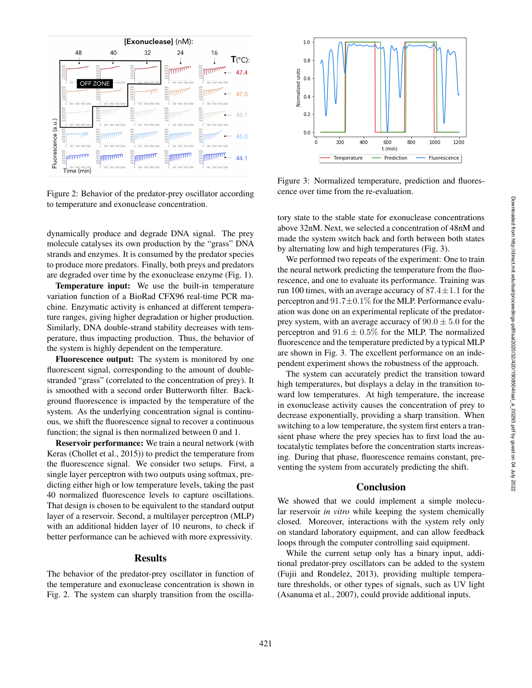

Figure 2: Behavior of the predator-prey oscillator according to temperature and exonuclease concentration.

dynamically produce and degrade DNA signal. The prey molecule catalyses its own production by the "grass" DNA strands and enzymes. It is consumed by the predator species to produce more predators. Finally, both preys and predators are degraded over time by the exonuclease enzyme (Fig. 1).

Temperature input: We use the built-in temperature variation function of a BioRad CFX96 real-time PCR machine. Enzymatic activity is enhanced at different temperature ranges, giving higher degradation or higher production. Similarly, DNA double-strand stability decreases with temperature, thus impacting production. Thus, the behavior of the system is highly dependent on the temperature.

Fluorescence output: The system is monitored by one fluorescent signal, corresponding to the amount of doublestranded "grass" (correlated to the concentration of prey). It is smoothed with a second order Butterworth filter. Background fluorescence is impacted by the temperature of the system. As the underlying concentration signal is continuous, we shift the fluorescence signal to recover a continuous function; the signal is then normalized between 0 and 1.

Reservoir performance: We train a neural network (with Keras (Chollet et al., 2015)) to predict the temperature from the fluorescence signal. We consider two setups. First, a single layer perceptron with two outputs using softmax, predicting either high or low temperature levels, taking the past 40 normalized fluorescence levels to capture oscillations. That design is chosen to be equivalent to the standard output layer of a reservoir. Second, a multilayer perceptron (MLP) with an additional hidden layer of 10 neurons, to check if better performance can be achieved with more expressivity.

## Results

The behavior of the predator-prey oscillator in function of the temperature and exonuclease concentration is shown in Fig. 2. The system can sharply transition from the oscilla-



Figure 3: Normalized temperature, prediction and fluorescence over time from the re-evaluation.

tory state to the stable state for exonuclease concentrations above 32nM. Next, we selected a concentration of 48nM and made the system switch back and forth between both states by alternating low and high temperatures (Fig. 3).

We performed two repeats of the experiment: One to train the neural network predicting the temperature from the fluorescence, and one to evaluate its performance. Training was run 100 times, with an average accuracy of  $87.4 \pm 1.1$  for the perceptron and  $91.7 \pm 0.1\%$  for the MLP. Performance evaluation was done on an experimental replicate of the predatorprey system, with an average accuracy of  $90.0 \pm 5.0$  for the perceptron and  $91.6 \pm 0.5\%$  for the MLP. The normalized fluorescence and the temperature predicted by a typical MLP are shown in Fig. 3. The excellent performance on an independent experiment shows the robustness of the approach.

The system can accurately predict the transition toward high temperatures, but displays a delay in the transition toward low temperatures. At high temperature, the increase in exonuclease activity causes the concentration of prey to decrease exponentially, providing a sharp transition. When switching to a low temperature, the system first enters a transient phase where the prey species has to first load the autocatalytic templates before the concentration starts increasing. During that phase, fluorescence remains constant, preventing the system from accurately predicting the shift.

### **Conclusion**

We showed that we could implement a simple molecular reservoir *in vitro* while keeping the system chemically closed. Moreover, interactions with the system rely only on standard laboratory equipment, and can allow feedback loops through the computer controlling said equipment.

While the current setup only has a binary input, additional predator-prey oscillators can be added to the system (Fujii and Rondelez, 2013), providing multiple temperature thresholds, or other types of signals, such as UV light (Asanuma et al., 2007), could provide additional inputs.